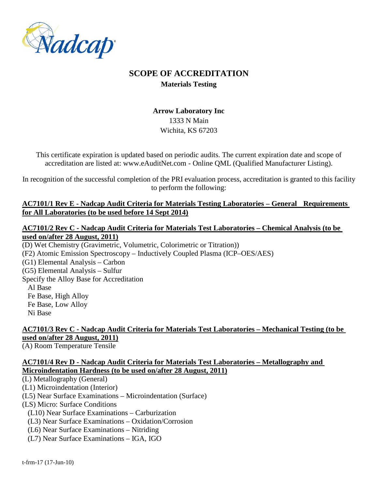

# **SCOPE OF ACCREDITATION Materials Testing**

# **Arrow Laboratory Inc** 1333 N Main Wichita, KS 67203

This certificate expiration is updated based on periodic audits. The current expiration date and scope of accreditation are listed at: www.eAuditNet.com - Online QML (Qualified Manufacturer Listing).

In recognition of the successful completion of the PRI evaluation process, accreditation is granted to this facility to perform the following:

### **AC7101/1 Rev E - Nadcap Audit Criteria for Materials Testing Laboratories – General Requirements for All Laboratories (to be used before 14 Sept 2014)**

### **AC7101/2 Rev C - Nadcap Audit Criteria for Materials Test Laboratories – Chemical Analysis (to be used on/after 28 August, 2011)**

(D) Wet Chemistry (Gravimetric, Volumetric, Colorimetric or Titration)) (F2) Atomic Emission Spectroscopy – Inductively Coupled Plasma (ICP–OES/AES) (G1) Elemental Analysis – Carbon (G5) Elemental Analysis – Sulfur Specify the Alloy Base for Accreditation Al Base Fe Base, High Alloy Fe Base, Low Alloy Ni Base

# **AC7101/3 Rev C - Nadcap Audit Criteria for Materials Test Laboratories – Mechanical Testing (to be used on/after 28 August, 2011)**

(A) Room Temperature Tensile

## **AC7101/4 Rev D - Nadcap Audit Criteria for Materials Test Laboratories – Metallography and Microindentation Hardness (to be used on/after 28 August, 2011)**

(L) Metallography (General)

(L1) Microindentation (Interior)

(L5) Near Surface Examinations – Microindentation (Surface)

(LS) Micro: Surface Conditions

(L10) Near Surface Examinations – Carburization

- (L3) Near Surface Examinations Oxidation/Corrosion
- (L6) Near Surface Examinations Nitriding
- (L7) Near Surface Examinations IGA, IGO